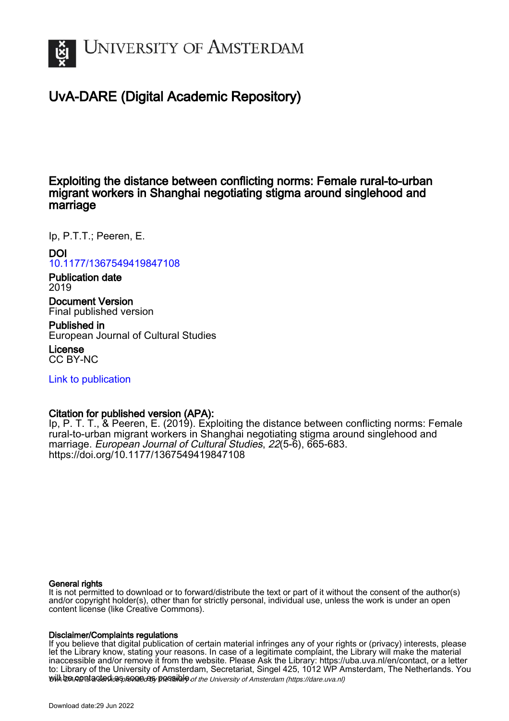

# UvA-DARE (Digital Academic Repository)

## Exploiting the distance between conflicting norms: Female rural-to-urban migrant workers in Shanghai negotiating stigma around singlehood and marriage

Ip, P.T.T.; Peeren, E.

DOI [10.1177/1367549419847108](https://doi.org/10.1177/1367549419847108)

Publication date 2019

Document Version Final published version

Published in European Journal of Cultural Studies

License CC BY-NC

[Link to publication](https://dare.uva.nl/personal/pure/en/publications/exploiting-the-distance-between-conflicting-norms-female-ruraltourban-migrant-workers-in-shanghai-negotiating-stigma-around-singlehood-and-marriage(2f1a07f8-1771-4afe-ab02-0a06ded872ea).html)

## Citation for published version (APA):

Ip, P. T. T., & Peeren, E. (2019). Exploiting the distance between conflicting norms: Female rural-to-urban migrant workers in Shanghai negotiating stigma around singlehood and marriage. European Journal of Cultural Studies, 22(5-6), 665-683. <https://doi.org/10.1177/1367549419847108>

#### General rights

It is not permitted to download or to forward/distribute the text or part of it without the consent of the author(s) and/or copyright holder(s), other than for strictly personal, individual use, unless the work is under an open content license (like Creative Commons).

#### Disclaimer/Complaints regulations

will be contacted as sontacty pessible of the University of Amsterdam (https://dare.uva.nl) If you believe that digital publication of certain material infringes any of your rights or (privacy) interests, please let the Library know, stating your reasons. In case of a legitimate complaint, the Library will make the material inaccessible and/or remove it from the website. Please Ask the Library: https://uba.uva.nl/en/contact, or a letter to: Library of the University of Amsterdam, Secretariat, Singel 425, 1012 WP Amsterdam, The Netherlands. You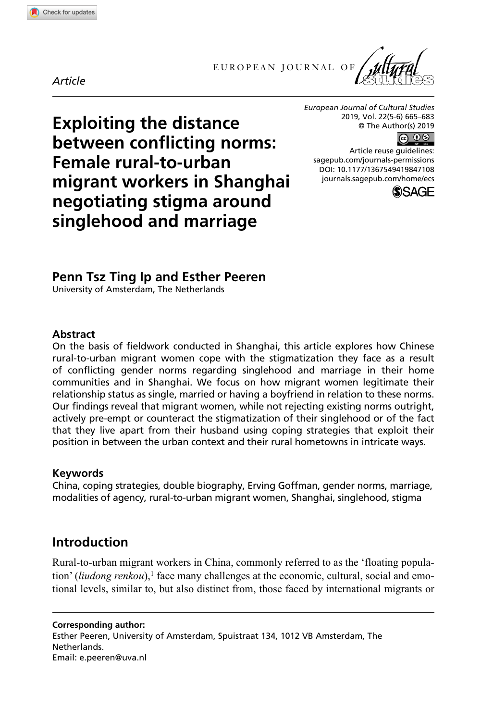**8471[08](http://crossmark.crossref.org/dialog/?doi=10.1177%2F1367549419847108&domain=pdf&date_stamp=2019-05-10)** ECS0010.1177/1367549419847108European Journal of Cultural Studies**Ip and Peeren**

EUROPEAN JOURNAL OF



*Article*

**Exploiting the distance between conflicting norms: Female rural-to-urban migrant workers in Shanghai negotiating stigma around singlehood and marriage**

*European Journal of Cultural Studies* 2019, Vol. 22(5-6) 665–683 © The Author(s) 2019

ெ 0

https://doi.org/10.1177/1367549419847108 DOI: 10.1177/1367549419847108 Article reuse guidelines: [sagepub.com/journals-permissions](https://uk.sagepub.com/en-gb/journals-permissions) [journals.sagepub.com/home/ecs](https://journals.sagepub.com/home/ecs)



## **Penn Tsz Ting Ip and Esther Peeren**

University of Amsterdam, The Netherlands

#### **Abstract**

On the basis of fieldwork conducted in Shanghai, this article explores how Chinese rural-to-urban migrant women cope with the stigmatization they face as a result of conflicting gender norms regarding singlehood and marriage in their home communities and in Shanghai. We focus on how migrant women legitimate their relationship status as single, married or having a boyfriend in relation to these norms. Our findings reveal that migrant women, while not rejecting existing norms outright, actively pre-empt or counteract the stigmatization of their singlehood or of the fact that they live apart from their husband using coping strategies that exploit their position in between the urban context and their rural hometowns in intricate ways.

#### **Keywords**

China, coping strategies, double biography, Erving Goffman, gender norms, marriage, modalities of agency, rural-to-urban migrant women, Shanghai, singlehood, stigma

## **Introduction**

Rural-to-urban migrant workers in China, commonly referred to as the 'floating population' (*liudong renkou*),<sup>1</sup> face many challenges at the economic, cultural, social and emotional levels, similar to, but also distinct from, those faced by international migrants or

**Corresponding author:** Esther Peeren, University of Amsterdam, Spuistraat 134, 1012 VB Amsterdam, The Netherlands. Email: [e.peeren@uva.nl](mailto:e.peeren@uva.nl)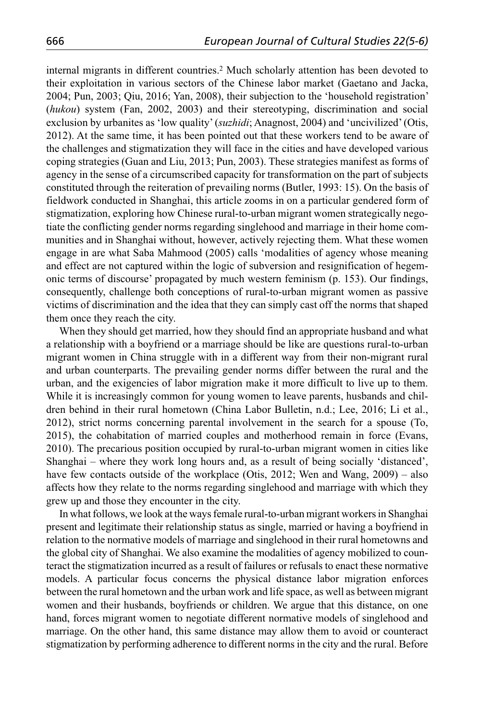internal migrants in different countries.2 Much scholarly attention has been devoted to their exploitation in various sectors of the Chinese labor market (Gaetano and Jacka, 2004; Pun, 2003; Qiu, 2016; Yan, 2008), their subjection to the 'household registration' (*hukou*) system (Fan, 2002, 2003) and their stereotyping, discrimination and social exclusion by urbanites as 'low quality' (*suzhidi*; Anagnost, 2004) and 'uncivilized' (Otis, 2012). At the same time, it has been pointed out that these workers tend to be aware of the challenges and stigmatization they will face in the cities and have developed various coping strategies (Guan and Liu, 2013; Pun, 2003). These strategies manifest as forms of agency in the sense of a circumscribed capacity for transformation on the part of subjects constituted through the reiteration of prevailing norms (Butler, 1993: 15). On the basis of fieldwork conducted in Shanghai, this article zooms in on a particular gendered form of stigmatization, exploring how Chinese rural-to-urban migrant women strategically negotiate the conflicting gender norms regarding singlehood and marriage in their home communities and in Shanghai without, however, actively rejecting them. What these women engage in are what Saba Mahmood (2005) calls 'modalities of agency whose meaning and effect are not captured within the logic of subversion and resignification of hegemonic terms of discourse' propagated by much western feminism (p. 153). Our findings, consequently, challenge both conceptions of rural-to-urban migrant women as passive victims of discrimination and the idea that they can simply cast off the norms that shaped them once they reach the city.

When they should get married, how they should find an appropriate husband and what a relationship with a boyfriend or a marriage should be like are questions rural-to-urban migrant women in China struggle with in a different way from their non-migrant rural and urban counterparts. The prevailing gender norms differ between the rural and the urban, and the exigencies of labor migration make it more difficult to live up to them. While it is increasingly common for young women to leave parents, husbands and children behind in their rural hometown (China Labor Bulletin, n.d.; Lee, 2016; Li et al., 2012), strict norms concerning parental involvement in the search for a spouse (To, 2015), the cohabitation of married couples and motherhood remain in force (Evans, 2010). The precarious position occupied by rural-to-urban migrant women in cities like Shanghai – where they work long hours and, as a result of being socially 'distanced', have few contacts outside of the workplace (Otis, 2012; Wen and Wang, 2009) – also affects how they relate to the norms regarding singlehood and marriage with which they grew up and those they encounter in the city.

In what follows, we look at the ways female rural-to-urban migrant workers in Shanghai present and legitimate their relationship status as single, married or having a boyfriend in relation to the normative models of marriage and singlehood in their rural hometowns and the global city of Shanghai. We also examine the modalities of agency mobilized to counteract the stigmatization incurred as a result of failures or refusals to enact these normative models. A particular focus concerns the physical distance labor migration enforces between the rural hometown and the urban work and life space, as well as between migrant women and their husbands, boyfriends or children. We argue that this distance, on one hand, forces migrant women to negotiate different normative models of singlehood and marriage. On the other hand, this same distance may allow them to avoid or counteract stigmatization by performing adherence to different norms in the city and the rural. Before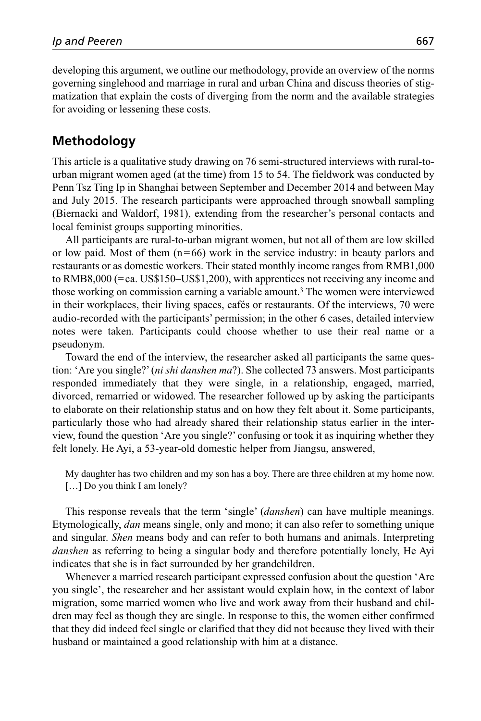developing this argument, we outline our methodology, provide an overview of the norms governing singlehood and marriage in rural and urban China and discuss theories of stigmatization that explain the costs of diverging from the norm and the available strategies for avoiding or lessening these costs.

## **Methodology**

This article is a qualitative study drawing on 76 semi-structured interviews with rural-tourban migrant women aged (at the time) from 15 to 54. The fieldwork was conducted by Penn Tsz Ting Ip in Shanghai between September and December 2014 and between May and July 2015. The research participants were approached through snowball sampling (Biernacki and Waldorf, 1981), extending from the researcher's personal contacts and local feminist groups supporting minorities.

All participants are rural-to-urban migrant women, but not all of them are low skilled or low paid. Most of them  $(n=66)$  work in the service industry: in beauty parlors and restaurants or as domestic workers. Their stated monthly income ranges from RMB1,000 to RMB8,000 (=ca. US\$150–US\$1,200), with apprentices not receiving any income and those working on commission earning a variable amount.3 The women were interviewed in their workplaces, their living spaces, cafés or restaurants. Of the interviews, 70 were audio-recorded with the participants' permission; in the other 6 cases, detailed interview notes were taken. Participants could choose whether to use their real name or a pseudonym.

Toward the end of the interview, the researcher asked all participants the same question: 'Are you single?' (*ni shi danshen ma*?). She collected 73 answers. Most participants responded immediately that they were single, in a relationship, engaged, married, divorced, remarried or widowed. The researcher followed up by asking the participants to elaborate on their relationship status and on how they felt about it. Some participants, particularly those who had already shared their relationship status earlier in the interview, found the question 'Are you single?' confusing or took it as inquiring whether they felt lonely. He Ayi, a 53-year-old domestic helper from Jiangsu, answered,

My daughter has two children and my son has a boy. There are three children at my home now. [...] Do you think I am lonely?

This response reveals that the term 'single' (*danshen*) can have multiple meanings. Etymologically, *dan* means single, only and mono; it can also refer to something unique and singular. *Shen* means body and can refer to both humans and animals. Interpreting *danshen* as referring to being a singular body and therefore potentially lonely, He Ayi indicates that she is in fact surrounded by her grandchildren.

Whenever a married research participant expressed confusion about the question 'Are you single', the researcher and her assistant would explain how, in the context of labor migration, some married women who live and work away from their husband and children may feel as though they are single. In response to this, the women either confirmed that they did indeed feel single or clarified that they did not because they lived with their husband or maintained a good relationship with him at a distance.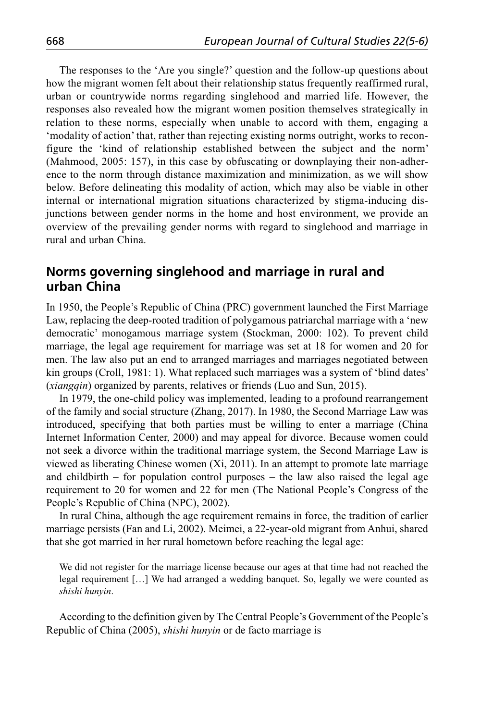The responses to the 'Are you single?' question and the follow-up questions about how the migrant women felt about their relationship status frequently reaffirmed rural, urban or countrywide norms regarding singlehood and married life. However, the responses also revealed how the migrant women position themselves strategically in relation to these norms, especially when unable to accord with them, engaging a 'modality of action' that, rather than rejecting existing norms outright, works to reconfigure the 'kind of relationship established between the subject and the norm' (Mahmood, 2005: 157), in this case by obfuscating or downplaying their non-adherence to the norm through distance maximization and minimization, as we will show below. Before delineating this modality of action, which may also be viable in other internal or international migration situations characterized by stigma-inducing disjunctions between gender norms in the home and host environment, we provide an overview of the prevailing gender norms with regard to singlehood and marriage in rural and urban China.

## **Norms governing singlehood and marriage in rural and urban China**

In 1950, the People's Republic of China (PRC) government launched the First Marriage Law, replacing the deep-rooted tradition of polygamous patriarchal marriage with a 'new democratic' monogamous marriage system (Stockman, 2000: 102). To prevent child marriage, the legal age requirement for marriage was set at 18 for women and 20 for men. The law also put an end to arranged marriages and marriages negotiated between kin groups (Croll, 1981: 1). What replaced such marriages was a system of 'blind dates' (*xiangqin*) organized by parents, relatives or friends (Luo and Sun, 2015).

In 1979, the one-child policy was implemented, leading to a profound rearrangement of the family and social structure (Zhang, 2017). In 1980, the Second Marriage Law was introduced, specifying that both parties must be willing to enter a marriage (China Internet Information Center, 2000) and may appeal for divorce. Because women could not seek a divorce within the traditional marriage system, the Second Marriage Law is viewed as liberating Chinese women (Xi, 2011). In an attempt to promote late marriage and childbirth – for population control purposes – the law also raised the legal age requirement to 20 for women and 22 for men (The National People's Congress of the People's Republic of China (NPC), 2002).

In rural China, although the age requirement remains in force, the tradition of earlier marriage persists (Fan and Li, 2002). Meimei, a 22-year-old migrant from Anhui, shared that she got married in her rural hometown before reaching the legal age:

We did not register for the marriage license because our ages at that time had not reached the legal requirement […] We had arranged a wedding banquet. So, legally we were counted as *shishi hunyin*.

According to the definition given by The Central People's Government of the People's Republic of China (2005), *shishi hunyin* or de facto marriage is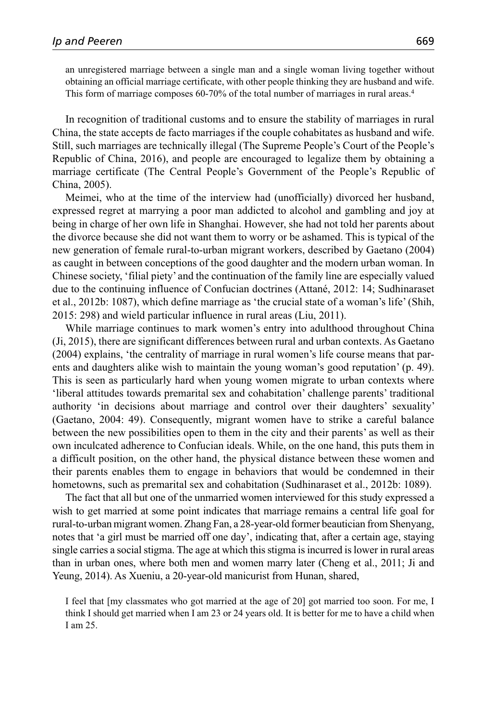an unregistered marriage between a single man and a single woman living together without obtaining an official marriage certificate, with other people thinking they are husband and wife. This form of marriage composes 60-70% of the total number of marriages in rural areas.4

In recognition of traditional customs and to ensure the stability of marriages in rural China, the state accepts de facto marriages if the couple cohabitates as husband and wife. Still, such marriages are technically illegal (The Supreme People's Court of the People's Republic of China, 2016), and people are encouraged to legalize them by obtaining a marriage certificate (The Central People's Government of the People's Republic of China, 2005).

Meimei, who at the time of the interview had (unofficially) divorced her husband, expressed regret at marrying a poor man addicted to alcohol and gambling and joy at being in charge of her own life in Shanghai. However, she had not told her parents about the divorce because she did not want them to worry or be ashamed. This is typical of the new generation of female rural-to-urban migrant workers, described by Gaetano (2004) as caught in between conceptions of the good daughter and the modern urban woman. In Chinese society, 'filial piety' and the continuation of the family line are especially valued due to the continuing influence of Confucian doctrines (Attané, 2012: 14; Sudhinaraset et al., 2012b: 1087), which define marriage as 'the crucial state of a woman's life' (Shih, 2015: 298) and wield particular influence in rural areas (Liu, 2011).

While marriage continues to mark women's entry into adulthood throughout China (Ji, 2015), there are significant differences between rural and urban contexts. As Gaetano (2004) explains, 'the centrality of marriage in rural women's life course means that parents and daughters alike wish to maintain the young woman's good reputation' (p. 49). This is seen as particularly hard when young women migrate to urban contexts where 'liberal attitudes towards premarital sex and cohabitation' challenge parents' traditional authority 'in decisions about marriage and control over their daughters' sexuality' (Gaetano, 2004: 49). Consequently, migrant women have to strike a careful balance between the new possibilities open to them in the city and their parents' as well as their own inculcated adherence to Confucian ideals. While, on the one hand, this puts them in a difficult position, on the other hand, the physical distance between these women and their parents enables them to engage in behaviors that would be condemned in their hometowns, such as premarital sex and cohabitation (Sudhinaraset et al., 2012b: 1089).

The fact that all but one of the unmarried women interviewed for this study expressed a wish to get married at some point indicates that marriage remains a central life goal for rural-to-urban migrant women. Zhang Fan, a 28-year-old former beautician from Shenyang, notes that 'a girl must be married off one day', indicating that, after a certain age, staying single carries a social stigma. The age at which this stigma is incurred is lower in rural areas than in urban ones, where both men and women marry later (Cheng et al., 2011; Ji and Yeung, 2014). As Xueniu, a 20-year-old manicurist from Hunan, shared,

I feel that [my classmates who got married at the age of 20] got married too soon. For me, I think I should get married when I am 23 or 24 years old. It is better for me to have a child when I am 25.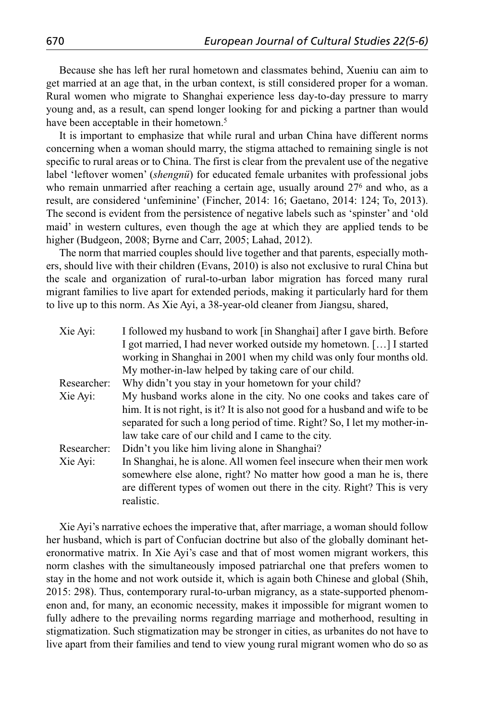Because she has left her rural hometown and classmates behind, Xueniu can aim to get married at an age that, in the urban context, is still considered proper for a woman. Rural women who migrate to Shanghai experience less day-to-day pressure to marry young and, as a result, can spend longer looking for and picking a partner than would have been acceptable in their hometown.<sup>5</sup>

It is important to emphasize that while rural and urban China have different norms concerning when a woman should marry, the stigma attached to remaining single is not specific to rural areas or to China. The first is clear from the prevalent use of the negative label 'leftover women' (*shengnü*) for educated female urbanites with professional jobs who remain unmarried after reaching a certain age, usually around 27<sup>6</sup> and who, as a result, are considered 'unfeminine' (Fincher, 2014: 16; Gaetano, 2014: 124; To, 2013). The second is evident from the persistence of negative labels such as 'spinster' and 'old maid' in western cultures, even though the age at which they are applied tends to be higher (Budgeon, 2008; Byrne and Carr, 2005; Lahad, 2012).

The norm that married couples should live together and that parents, especially mothers, should live with their children (Evans, 2010) is also not exclusive to rural China but the scale and organization of rural-to-urban labor migration has forced many rural migrant families to live apart for extended periods, making it particularly hard for them to live up to this norm. As Xie Ayi, a 38-year-old cleaner from Jiangsu, shared,

| Xie Ayi:    | I followed my husband to work [in Shanghai] after I gave birth. Before        |
|-------------|-------------------------------------------------------------------------------|
|             | I got married, I had never worked outside my hometown. [] I started           |
|             | working in Shanghai in 2001 when my child was only four months old.           |
|             | My mother-in-law helped by taking care of our child.                          |
| Researcher: | Why didn't you stay in your hometown for your child?                          |
| Xie Ayi:    | My husband works alone in the city. No one cooks and takes care of            |
|             | him. It is not right, is it? It is also not good for a husband and wife to be |
|             | separated for such a long period of time. Right? So, I let my mother-in-      |
|             | law take care of our child and I came to the city.                            |
| Researcher: | Didn't you like him living alone in Shanghai?                                 |
| Xie Ayi:    | In Shanghai, he is alone. All women feel insecure when their men work         |
|             | somewhere else alone, right? No matter how good a man he is, there            |
|             | are different types of women out there in the city. Right? This is very       |
|             | realistic.                                                                    |
|             |                                                                               |

Xie Ayi's narrative echoes the imperative that, after marriage, a woman should follow her husband, which is part of Confucian doctrine but also of the globally dominant heteronormative matrix. In Xie Ayi's case and that of most women migrant workers, this norm clashes with the simultaneously imposed patriarchal one that prefers women to stay in the home and not work outside it, which is again both Chinese and global (Shih, 2015: 298). Thus, contemporary rural-to-urban migrancy, as a state-supported phenomenon and, for many, an economic necessity, makes it impossible for migrant women to fully adhere to the prevailing norms regarding marriage and motherhood, resulting in stigmatization. Such stigmatization may be stronger in cities, as urbanites do not have to live apart from their families and tend to view young rural migrant women who do so as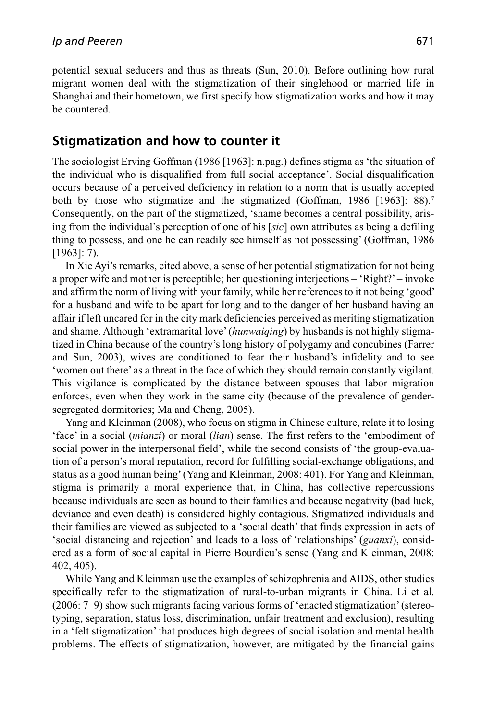potential sexual seducers and thus as threats (Sun, 2010). Before outlining how rural migrant women deal with the stigmatization of their singlehood or married life in Shanghai and their hometown, we first specify how stigmatization works and how it may be countered.

## **Stigmatization and how to counter it**

The sociologist Erving Goffman (1986 [1963]: n.pag.) defines stigma as 'the situation of the individual who is disqualified from full social acceptance'. Social disqualification occurs because of a perceived deficiency in relation to a norm that is usually accepted both by those who stigmatize and the stigmatized (Goffman, 1986 [1963]: 88).7 Consequently, on the part of the stigmatized, 'shame becomes a central possibility, arising from the individual's perception of one of his [*sic*] own attributes as being a defiling thing to possess, and one he can readily see himself as not possessing' (Goffman, 1986 [1963]: 7).

In Xie Ayi's remarks, cited above, a sense of her potential stigmatization for not being a proper wife and mother is perceptible; her questioning interjections – 'Right?' – invoke and affirm the norm of living with your family, while her references to it not being 'good' for a husband and wife to be apart for long and to the danger of her husband having an affair if left uncared for in the city mark deficiencies perceived as meriting stigmatization and shame. Although 'extramarital love' (*hunwaiqing*) by husbands is not highly stigmatized in China because of the country's long history of polygamy and concubines (Farrer and Sun, 2003), wives are conditioned to fear their husband's infidelity and to see 'women out there' as a threat in the face of which they should remain constantly vigilant. This vigilance is complicated by the distance between spouses that labor migration enforces, even when they work in the same city (because of the prevalence of gendersegregated dormitories; Ma and Cheng, 2005).

Yang and Kleinman (2008), who focus on stigma in Chinese culture, relate it to losing 'face' in a social (*mianzi*) or moral (*lian*) sense. The first refers to the 'embodiment of social power in the interpersonal field', while the second consists of 'the group-evaluation of a person's moral reputation, record for fulfilling social-exchange obligations, and status as a good human being' (Yang and Kleinman, 2008: 401). For Yang and Kleinman, stigma is primarily a moral experience that, in China, has collective repercussions because individuals are seen as bound to their families and because negativity (bad luck, deviance and even death) is considered highly contagious. Stigmatized individuals and their families are viewed as subjected to a 'social death' that finds expression in acts of 'social distancing and rejection' and leads to a loss of 'relationships' (*guanxi*), considered as a form of social capital in Pierre Bourdieu's sense (Yang and Kleinman, 2008: 402, 405).

While Yang and Kleinman use the examples of schizophrenia and AIDS, other studies specifically refer to the stigmatization of rural-to-urban migrants in China. Li et al. (2006: 7–9) show such migrants facing various forms of 'enacted stigmatization' (stereotyping, separation, status loss, discrimination, unfair treatment and exclusion), resulting in a 'felt stigmatization' that produces high degrees of social isolation and mental health problems. The effects of stigmatization, however, are mitigated by the financial gains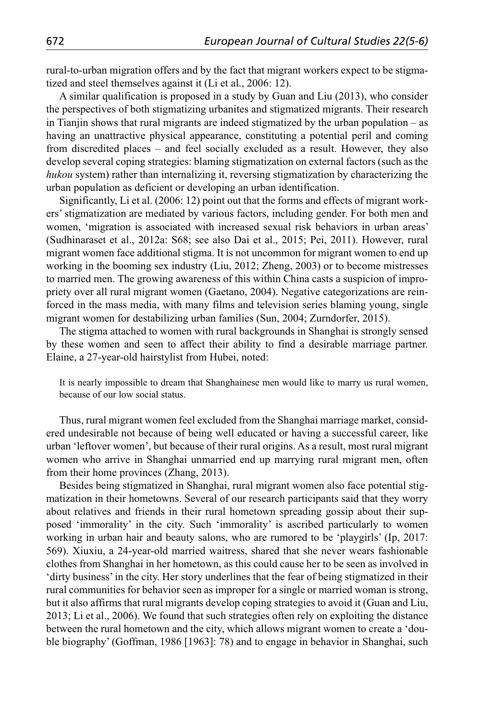rural-to-urban migration offers and by the fact that migrant workers expect to be stigmatized and steel themselves against it (Li et al., 2006: 12).

A similar qualification is proposed in a study by Guan and Liu (2013), who consider the perspectives of both stigmatizing urbanites and stigmatized migrants. Their research in Tianjin shows that rural migrants are indeed stigmatized by the urban population – as having an unattractive physical appearance, constituting a potential peril and coming from discredited places – and feel socially excluded as a result. However, they also develop several coping strategies: blaming stigmatization on external factors (such as the *hukou* system) rather than internalizing it, reversing stigmatization by characterizing the urban population as deficient or developing an urban identification.

Significantly, Li et al. (2006: 12) point out that the forms and effects of migrant workers' stigmatization are mediated by various factors, including gender. For both men and women, 'migration is associated with increased sexual risk behaviors in urban areas' (Sudhinaraset et al., 2012a: S68; see also Dai et al., 2015; Pei, 2011). However, rural migrant women face additional stigma. It is not uncommon for migrant women to end up working in the booming sex industry (Liu, 2012; Zheng, 2003) or to become mistresses to married men. The growing awareness of this within China casts a suspicion of impropriety over all rural migrant women (Gaetano, 2004). Negative categorizations are reinforced in the mass media, with many films and television series blaming young, single migrant women for destabilizing urban families (Sun, 2004; Zurndorfer, 2015).

The stigma attached to women with rural backgrounds in Shanghai is strongly sensed by these women and seen to affect their ability to find a desirable marriage partner. Elaine, a 27-year-old hairstylist from Hubei, noted:

It is nearly impossible to dream that Shanghainese men would like to marry us rural women, because of our low social status.

Thus, rural migrant women feel excluded from the Shanghai marriage market, considered undesirable not because of being well educated or having a successful career, like urban 'leftover women', but because of their rural origins. As a result, most rural migrant women who arrive in Shanghai unmarried end up marrying rural migrant men, often from their home provinces (Zhang, 2013).

Besides being stigmatized in Shanghai, rural migrant women also face potential stigmatization in their hometowns. Several of our research participants said that they worry about relatives and friends in their rural hometown spreading gossip about their supposed 'immorality' in the city. Such 'immorality' is ascribed particularly to women working in urban hair and beauty salons, who are rumored to be 'playgirls' (Ip, 2017: 569). Xiuxiu, a 24-year-old married waitress, shared that she never wears fashionable clothes from Shanghai in her hometown, as this could cause her to be seen as involved in 'dirty business' in the city. Her story underlines that the fear of being stigmatized in their rural communities for behavior seen as improper for a single or married woman is strong, but it also affirms that rural migrants develop coping strategies to avoid it (Guan and Liu, 2013; Li et al., 2006). We found that such strategies often rely on exploiting the distance between the rural hometown and the city, which allows migrant women to create a 'double biography' (Goffman, 1986 [1963]: 78) and to engage in behavior in Shanghai, such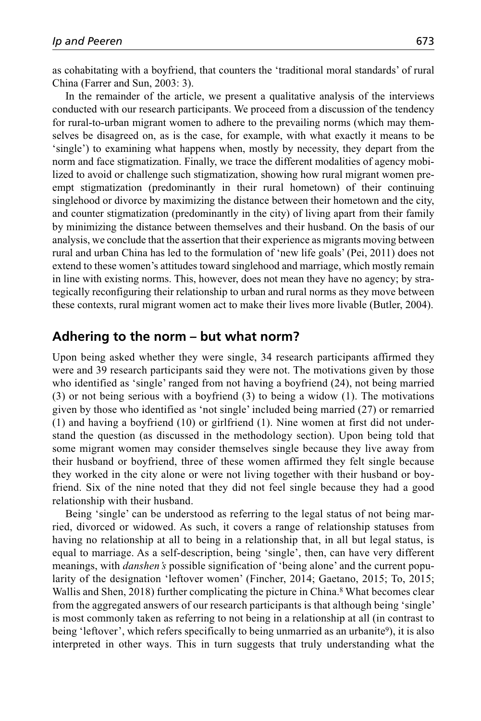as cohabitating with a boyfriend, that counters the 'traditional moral standards' of rural China (Farrer and Sun, 2003: 3).

In the remainder of the article, we present a qualitative analysis of the interviews conducted with our research participants. We proceed from a discussion of the tendency for rural-to-urban migrant women to adhere to the prevailing norms (which may themselves be disagreed on, as is the case, for example, with what exactly it means to be 'single') to examining what happens when, mostly by necessity, they depart from the norm and face stigmatization. Finally, we trace the different modalities of agency mobilized to avoid or challenge such stigmatization, showing how rural migrant women preempt stigmatization (predominantly in their rural hometown) of their continuing singlehood or divorce by maximizing the distance between their hometown and the city, and counter stigmatization (predominantly in the city) of living apart from their family by minimizing the distance between themselves and their husband. On the basis of our analysis, we conclude that the assertion that their experience as migrants moving between rural and urban China has led to the formulation of 'new life goals' (Pei, 2011) does not extend to these women's attitudes toward singlehood and marriage, which mostly remain in line with existing norms. This, however, does not mean they have no agency; by strategically reconfiguring their relationship to urban and rural norms as they move between these contexts, rural migrant women act to make their lives more livable (Butler, 2004).

#### **Adhering to the norm – but what norm?**

Upon being asked whether they were single, 34 research participants affirmed they were and 39 research participants said they were not. The motivations given by those who identified as 'single' ranged from not having a boyfriend (24), not being married (3) or not being serious with a boyfriend (3) to being a widow (1). The motivations given by those who identified as 'not single' included being married (27) or remarried (1) and having a boyfriend (10) or girlfriend (1). Nine women at first did not understand the question (as discussed in the methodology section). Upon being told that some migrant women may consider themselves single because they live away from their husband or boyfriend, three of these women affirmed they felt single because they worked in the city alone or were not living together with their husband or boyfriend. Six of the nine noted that they did not feel single because they had a good relationship with their husband.

Being 'single' can be understood as referring to the legal status of not being married, divorced or widowed. As such, it covers a range of relationship statuses from having no relationship at all to being in a relationship that, in all but legal status, is equal to marriage. As a self-description, being 'single', then, can have very different meanings, with *danshen's* possible signification of 'being alone' and the current popularity of the designation 'leftover women' (Fincher, 2014; Gaetano, 2015; To, 2015; Wallis and Shen, 2018) further complicating the picture in China.<sup>8</sup> What becomes clear from the aggregated answers of our research participants is that although being 'single' is most commonly taken as referring to not being in a relationship at all (in contrast to being 'leftover', which refers specifically to being unmarried as an urbanite<sup>9</sup>), it is also interpreted in other ways. This in turn suggests that truly understanding what the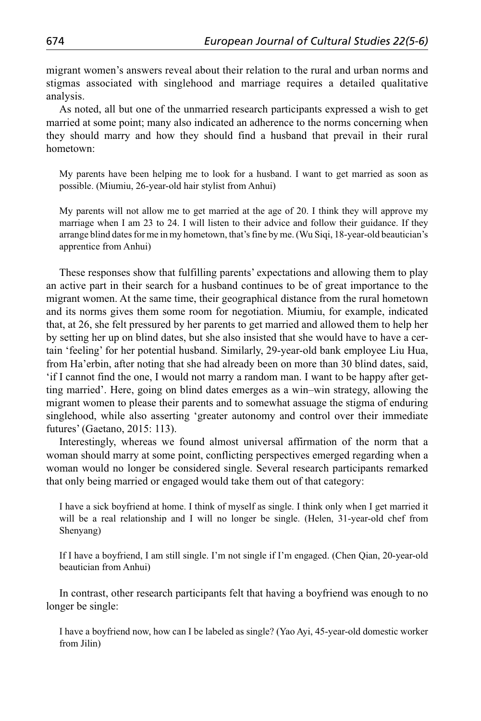migrant women's answers reveal about their relation to the rural and urban norms and stigmas associated with singlehood and marriage requires a detailed qualitative analysis.

As noted, all but one of the unmarried research participants expressed a wish to get married at some point; many also indicated an adherence to the norms concerning when they should marry and how they should find a husband that prevail in their rural hometown:

My parents have been helping me to look for a husband. I want to get married as soon as possible. (Miumiu, 26-year-old hair stylist from Anhui)

My parents will not allow me to get married at the age of 20. I think they will approve my marriage when I am 23 to 24. I will listen to their advice and follow their guidance. If they arrange blind dates for me in my hometown, that's fine by me. (Wu Siqi, 18-year-old beautician's apprentice from Anhui)

These responses show that fulfilling parents' expectations and allowing them to play an active part in their search for a husband continues to be of great importance to the migrant women. At the same time, their geographical distance from the rural hometown and its norms gives them some room for negotiation. Miumiu, for example, indicated that, at 26, she felt pressured by her parents to get married and allowed them to help her by setting her up on blind dates, but she also insisted that she would have to have a certain 'feeling' for her potential husband. Similarly, 29-year-old bank employee Liu Hua, from Ha'erbin, after noting that she had already been on more than 30 blind dates, said, 'if I cannot find the one, I would not marry a random man. I want to be happy after getting married'. Here, going on blind dates emerges as a win–win strategy, allowing the migrant women to please their parents and to somewhat assuage the stigma of enduring singlehood, while also asserting 'greater autonomy and control over their immediate futures' (Gaetano, 2015: 113).

Interestingly, whereas we found almost universal affirmation of the norm that a woman should marry at some point, conflicting perspectives emerged regarding when a woman would no longer be considered single. Several research participants remarked that only being married or engaged would take them out of that category:

I have a sick boyfriend at home. I think of myself as single. I think only when I get married it will be a real relationship and I will no longer be single. (Helen, 31-year-old chef from Shenyang)

If I have a boyfriend, I am still single. I'm not single if I'm engaged. (Chen Qian, 20-year-old beautician from Anhui)

In contrast, other research participants felt that having a boyfriend was enough to no longer be single:

I have a boyfriend now, how can I be labeled as single? (Yao Ayi, 45-year-old domestic worker from Jilin)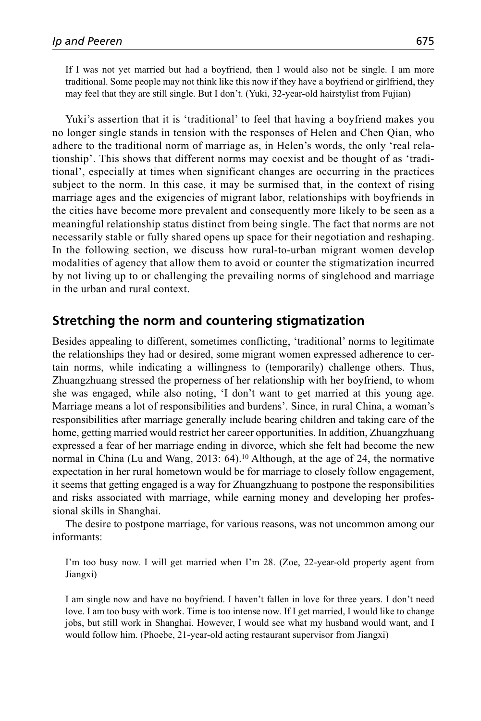If I was not yet married but had a boyfriend, then I would also not be single. I am more traditional. Some people may not think like this now if they have a boyfriend or girlfriend, they may feel that they are still single. But I don't. (Yuki, 32-year-old hairstylist from Fujian)

Yuki's assertion that it is 'traditional' to feel that having a boyfriend makes you no longer single stands in tension with the responses of Helen and Chen Qian, who adhere to the traditional norm of marriage as, in Helen's words, the only 'real relationship'. This shows that different norms may coexist and be thought of as 'traditional', especially at times when significant changes are occurring in the practices subject to the norm. In this case, it may be surmised that, in the context of rising marriage ages and the exigencies of migrant labor, relationships with boyfriends in the cities have become more prevalent and consequently more likely to be seen as a meaningful relationship status distinct from being single. The fact that norms are not necessarily stable or fully shared opens up space for their negotiation and reshaping. In the following section, we discuss how rural-to-urban migrant women develop modalities of agency that allow them to avoid or counter the stigmatization incurred by not living up to or challenging the prevailing norms of singlehood and marriage in the urban and rural context.

## **Stretching the norm and countering stigmatization**

Besides appealing to different, sometimes conflicting, 'traditional' norms to legitimate the relationships they had or desired, some migrant women expressed adherence to certain norms, while indicating a willingness to (temporarily) challenge others. Thus, Zhuangzhuang stressed the properness of her relationship with her boyfriend, to whom she was engaged, while also noting, 'I don't want to get married at this young age. Marriage means a lot of responsibilities and burdens'. Since, in rural China, a woman's responsibilities after marriage generally include bearing children and taking care of the home, getting married would restrict her career opportunities. In addition, Zhuangzhuang expressed a fear of her marriage ending in divorce, which she felt had become the new normal in China (Lu and Wang, 2013: 64).10 Although, at the age of 24, the normative expectation in her rural hometown would be for marriage to closely follow engagement, it seems that getting engaged is a way for Zhuangzhuang to postpone the responsibilities and risks associated with marriage, while earning money and developing her professional skills in Shanghai.

The desire to postpone marriage, for various reasons, was not uncommon among our informants:

I'm too busy now. I will get married when I'm 28. (Zoe, 22-year-old property agent from Jiangxi)

I am single now and have no boyfriend. I haven't fallen in love for three years. I don't need love. I am too busy with work. Time is too intense now. If I get married, I would like to change jobs, but still work in Shanghai. However, I would see what my husband would want, and I would follow him. (Phoebe, 21-year-old acting restaurant supervisor from Jiangxi)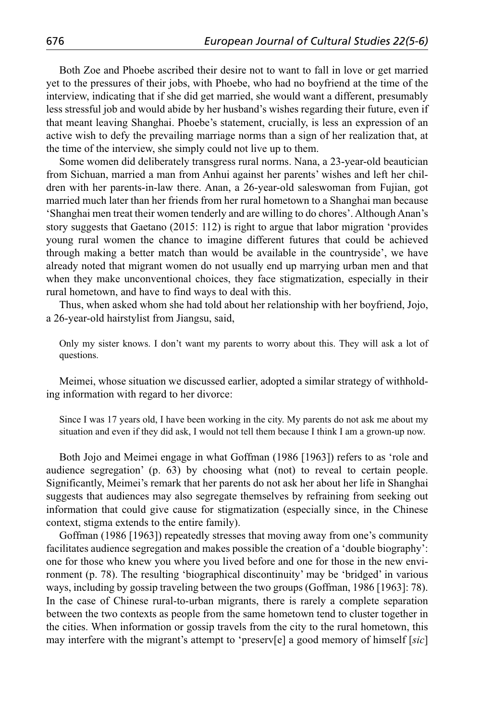Both Zoe and Phoebe ascribed their desire not to want to fall in love or get married yet to the pressures of their jobs, with Phoebe, who had no boyfriend at the time of the interview, indicating that if she did get married, she would want a different, presumably less stressful job and would abide by her husband's wishes regarding their future, even if that meant leaving Shanghai. Phoebe's statement, crucially, is less an expression of an active wish to defy the prevailing marriage norms than a sign of her realization that, at the time of the interview, she simply could not live up to them.

Some women did deliberately transgress rural norms. Nana, a 23-year-old beautician from Sichuan, married a man from Anhui against her parents' wishes and left her children with her parents-in-law there. Anan, a 26-year-old saleswoman from Fujian, got married much later than her friends from her rural hometown to a Shanghai man because 'Shanghai men treat their women tenderly and are willing to do chores'. Although Anan's story suggests that Gaetano (2015: 112) is right to argue that labor migration 'provides young rural women the chance to imagine different futures that could be achieved through making a better match than would be available in the countryside', we have already noted that migrant women do not usually end up marrying urban men and that when they make unconventional choices, they face stigmatization, especially in their rural hometown, and have to find ways to deal with this.

Thus, when asked whom she had told about her relationship with her boyfriend, Jojo, a 26-year-old hairstylist from Jiangsu, said,

Only my sister knows. I don't want my parents to worry about this. They will ask a lot of questions.

Meimei, whose situation we discussed earlier, adopted a similar strategy of withholding information with regard to her divorce:

Since I was 17 years old, I have been working in the city. My parents do not ask me about my situation and even if they did ask, I would not tell them because I think I am a grown-up now.

Both Jojo and Meimei engage in what Goffman (1986 [1963]) refers to as 'role and audience segregation' (p. 63) by choosing what (not) to reveal to certain people. Significantly, Meimei's remark that her parents do not ask her about her life in Shanghai suggests that audiences may also segregate themselves by refraining from seeking out information that could give cause for stigmatization (especially since, in the Chinese context, stigma extends to the entire family).

Goffman (1986 [1963]) repeatedly stresses that moving away from one's community facilitates audience segregation and makes possible the creation of a 'double biography': one for those who knew you where you lived before and one for those in the new environment (p. 78). The resulting 'biographical discontinuity' may be 'bridged' in various ways, including by gossip traveling between the two groups (Goffman, 1986 [1963]: 78). In the case of Chinese rural-to-urban migrants, there is rarely a complete separation between the two contexts as people from the same hometown tend to cluster together in the cities. When information or gossip travels from the city to the rural hometown, this may interfere with the migrant's attempt to 'preserv[e] a good memory of himself [*sic*]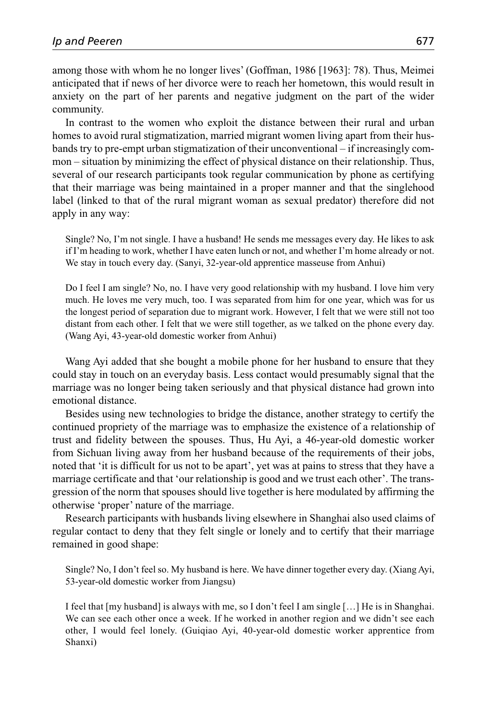among those with whom he no longer lives' (Goffman, 1986 [1963]: 78). Thus, Meimei anticipated that if news of her divorce were to reach her hometown, this would result in anxiety on the part of her parents and negative judgment on the part of the wider community.

In contrast to the women who exploit the distance between their rural and urban homes to avoid rural stigmatization, married migrant women living apart from their husbands try to pre-empt urban stigmatization of their unconventional – if increasingly common – situation by minimizing the effect of physical distance on their relationship. Thus, several of our research participants took regular communication by phone as certifying that their marriage was being maintained in a proper manner and that the singlehood label (linked to that of the rural migrant woman as sexual predator) therefore did not apply in any way:

Single? No, I'm not single. I have a husband! He sends me messages every day. He likes to ask if I'm heading to work, whether I have eaten lunch or not, and whether I'm home already or not. We stay in touch every day. (Sanyi, 32-year-old apprentice masseuse from Anhui)

Do I feel I am single? No, no. I have very good relationship with my husband. I love him very much. He loves me very much, too. I was separated from him for one year, which was for us the longest period of separation due to migrant work. However, I felt that we were still not too distant from each other. I felt that we were still together, as we talked on the phone every day. (Wang Ayi, 43-year-old domestic worker from Anhui)

Wang Ayi added that she bought a mobile phone for her husband to ensure that they could stay in touch on an everyday basis. Less contact would presumably signal that the marriage was no longer being taken seriously and that physical distance had grown into emotional distance.

Besides using new technologies to bridge the distance, another strategy to certify the continued propriety of the marriage was to emphasize the existence of a relationship of trust and fidelity between the spouses. Thus, Hu Ayi, a 46-year-old domestic worker from Sichuan living away from her husband because of the requirements of their jobs, noted that 'it is difficult for us not to be apart', yet was at pains to stress that they have a marriage certificate and that 'our relationship is good and we trust each other'. The transgression of the norm that spouses should live together is here modulated by affirming the otherwise 'proper' nature of the marriage.

Research participants with husbands living elsewhere in Shanghai also used claims of regular contact to deny that they felt single or lonely and to certify that their marriage remained in good shape:

Single? No, I don't feel so. My husband is here. We have dinner together every day. (Xiang Ayi, 53-year-old domestic worker from Jiangsu)

I feel that [my husband] is always with me, so I don't feel I am single […] He is in Shanghai. We can see each other once a week. If he worked in another region and we didn't see each other, I would feel lonely. (Guiqiao Ayi, 40-year-old domestic worker apprentice from Shanxi)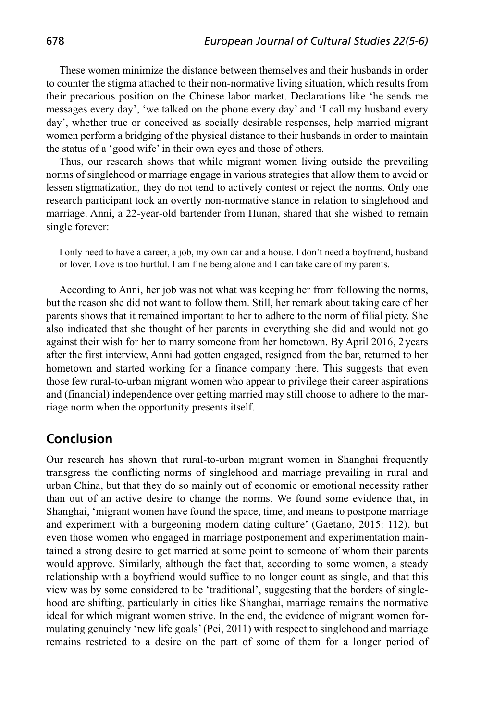These women minimize the distance between themselves and their husbands in order to counter the stigma attached to their non-normative living situation, which results from their precarious position on the Chinese labor market. Declarations like 'he sends me messages every day', 'we talked on the phone every day' and 'I call my husband every day', whether true or conceived as socially desirable responses, help married migrant women perform a bridging of the physical distance to their husbands in order to maintain the status of a 'good wife' in their own eyes and those of others.

Thus, our research shows that while migrant women living outside the prevailing norms of singlehood or marriage engage in various strategies that allow them to avoid or lessen stigmatization, they do not tend to actively contest or reject the norms. Only one research participant took an overtly non-normative stance in relation to singlehood and marriage. Anni, a 22-year-old bartender from Hunan, shared that she wished to remain single forever:

I only need to have a career, a job, my own car and a house. I don't need a boyfriend, husband or lover. Love is too hurtful. I am fine being alone and I can take care of my parents.

According to Anni, her job was not what was keeping her from following the norms, but the reason she did not want to follow them. Still, her remark about taking care of her parents shows that it remained important to her to adhere to the norm of filial piety. She also indicated that she thought of her parents in everything she did and would not go against their wish for her to marry someone from her hometown. By April 2016, 2 years after the first interview, Anni had gotten engaged, resigned from the bar, returned to her hometown and started working for a finance company there. This suggests that even those few rural-to-urban migrant women who appear to privilege their career aspirations and (financial) independence over getting married may still choose to adhere to the marriage norm when the opportunity presents itself.

## **Conclusion**

Our research has shown that rural-to-urban migrant women in Shanghai frequently transgress the conflicting norms of singlehood and marriage prevailing in rural and urban China, but that they do so mainly out of economic or emotional necessity rather than out of an active desire to change the norms. We found some evidence that, in Shanghai, 'migrant women have found the space, time, and means to postpone marriage and experiment with a burgeoning modern dating culture' (Gaetano, 2015: 112), but even those women who engaged in marriage postponement and experimentation maintained a strong desire to get married at some point to someone of whom their parents would approve. Similarly, although the fact that, according to some women, a steady relationship with a boyfriend would suffice to no longer count as single, and that this view was by some considered to be 'traditional', suggesting that the borders of singlehood are shifting, particularly in cities like Shanghai, marriage remains the normative ideal for which migrant women strive. In the end, the evidence of migrant women formulating genuinely 'new life goals' (Pei, 2011) with respect to singlehood and marriage remains restricted to a desire on the part of some of them for a longer period of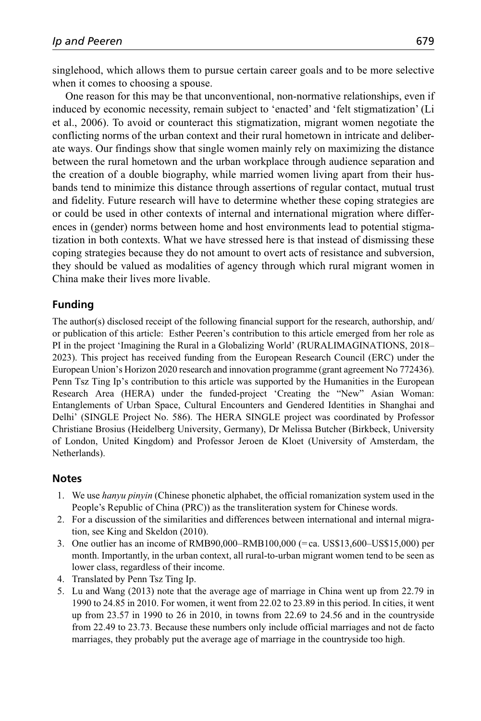singlehood, which allows them to pursue certain career goals and to be more selective when it comes to choosing a spouse.

One reason for this may be that unconventional, non-normative relationships, even if induced by economic necessity, remain subject to 'enacted' and 'felt stigmatization' (Li et al., 2006). To avoid or counteract this stigmatization, migrant women negotiate the conflicting norms of the urban context and their rural hometown in intricate and deliberate ways. Our findings show that single women mainly rely on maximizing the distance between the rural hometown and the urban workplace through audience separation and the creation of a double biography, while married women living apart from their husbands tend to minimize this distance through assertions of regular contact, mutual trust and fidelity. Future research will have to determine whether these coping strategies are or could be used in other contexts of internal and international migration where differences in (gender) norms between home and host environments lead to potential stigmatization in both contexts. What we have stressed here is that instead of dismissing these coping strategies because they do not amount to overt acts of resistance and subversion, they should be valued as modalities of agency through which rural migrant women in China make their lives more livable.

#### **Funding**

The author(s) disclosed receipt of the following financial support for the research, authorship, and/ or publication of this article: Esther Peeren's contribution to this article emerged from her role as PI in the project 'Imagining the Rural in a Globalizing World' (RURALIMAGINATIONS, 2018– 2023). This project has received funding from the European Research Council (ERC) under the European Union's Horizon 2020 research and innovation programme (grant agreement No 772436). Penn Tsz Ting Ip's contribution to this article was supported by the Humanities in the European Research Area (HERA) under the funded-project 'Creating the "New" Asian Woman: Entanglements of Urban Space, Cultural Encounters and Gendered Identities in Shanghai and Delhi' (SINGLE Project No. 586). The HERA SINGLE project was coordinated by Professor Christiane Brosius (Heidelberg University, Germany), Dr Melissa Butcher (Birkbeck, University of London, United Kingdom) and Professor Jeroen de Kloet (University of Amsterdam, the Netherlands).

#### **Notes**

- 1. We use *hanyu pinyin* (Chinese phonetic alphabet, the official romanization system used in the People's Republic of China (PRC)) as the transliteration system for Chinese words.
- 2. For a discussion of the similarities and differences between international and internal migration, see King and Skeldon (2010).
- 3. One outlier has an income of RMB90,000–RMB100,000 (=ca. US\$13,600–US\$15,000) per month. Importantly, in the urban context, all rural-to-urban migrant women tend to be seen as lower class, regardless of their income.
- 4. Translated by Penn Tsz Ting Ip.
- 5. Lu and Wang (2013) note that the average age of marriage in China went up from 22.79 in 1990 to 24.85 in 2010. For women, it went from 22.02 to 23.89 in this period. In cities, it went up from 23.57 in 1990 to 26 in 2010, in towns from 22.69 to 24.56 and in the countryside from 22.49 to 23.73. Because these numbers only include official marriages and not de facto marriages, they probably put the average age of marriage in the countryside too high.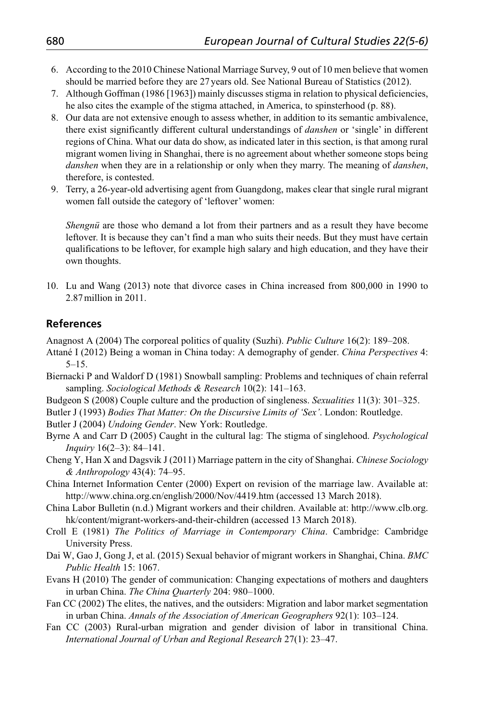- 6. According to the 2010 Chinese National Marriage Survey, 9 out of 10 men believe that women should be married before they are 27 years old. See National Bureau of Statistics (2012).
- 7. Although Goffman (1986 [1963]) mainly discusses stigma in relation to physical deficiencies, he also cites the example of the stigma attached, in America, to spinsterhood (p. 88).
- 8. Our data are not extensive enough to assess whether, in addition to its semantic ambivalence, there exist significantly different cultural understandings of *danshen* or 'single' in different regions of China. What our data do show, as indicated later in this section, is that among rural migrant women living in Shanghai, there is no agreement about whether someone stops being *danshen* when they are in a relationship or only when they marry. The meaning of *danshen*, therefore, is contested.
- 9. Terry, a 26-year-old advertising agent from Guangdong, makes clear that single rural migrant women fall outside the category of 'leftover' women:

*Shengnü* are those who demand a lot from their partners and as a result they have become leftover. It is because they can't find a man who suits their needs. But they must have certain qualifications to be leftover, for example high salary and high education, and they have their own thoughts.

10. Lu and Wang (2013) note that divorce cases in China increased from 800,000 in 1990 to 2.87million in 2011.

## **References**

Anagnost A (2004) The corporeal politics of quality (Suzhi). *Public Culture* 16(2): 189–208.

- Attané I (2012) Being a woman in China today: A demography of gender. *China Perspectives* 4: 5–15.
- Biernacki P and Waldorf D (1981) Snowball sampling: Problems and techniques of chain referral sampling. *Sociological Methods & Research* 10(2): 141–163.
- Budgeon S (2008) Couple culture and the production of singleness. *Sexualities* 11(3): 301–325.

Butler J (1993) *Bodies That Matter: On the Discursive Limits of 'Sex'*. London: Routledge.

Butler J (2004) *Undoing Gender*. New York: Routledge.

- Byrne A and Carr D (2005) Caught in the cultural lag: The stigma of singlehood. *Psychological Inquiry* 16(2–3): 84–141.
- Cheng Y, Han X and Dagsvik J (2011) Marriage pattern in the city of Shanghai. *Chinese Sociology & Anthropology* 43(4): 74–95.

China Internet Information Center (2000) Expert on revision of the marriage law. Available at: <http://www.china.org.cn/english/2000/Nov/4419.htm> (accessed 13 March 2018).

- China Labor Bulletin (n.d.) Migrant workers and their children. Available at: [http://www.clb.org.](http://www.clb.org.hk/content/migrant-workers-and-their-children) [hk/content/migrant-workers-and-their-children](http://www.clb.org.hk/content/migrant-workers-and-their-children) (accessed 13 March 2018).
- Croll E (1981) *The Politics of Marriage in Contemporary China*. Cambridge: Cambridge University Press.
- Dai W, Gao J, Gong J, et al. (2015) Sexual behavior of migrant workers in Shanghai, China. *BMC Public Health* 15: 1067.
- Evans H (2010) The gender of communication: Changing expectations of mothers and daughters in urban China. *The China Quarterly* 204: 980–1000.
- Fan CC (2002) The elites, the natives, and the outsiders: Migration and labor market segmentation in urban China. *Annals of the Association of American Geographers* 92(1): 103–124.
- Fan CC (2003) Rural-urban migration and gender division of labor in transitional China. *International Journal of Urban and Regional Research* 27(1): 23–47.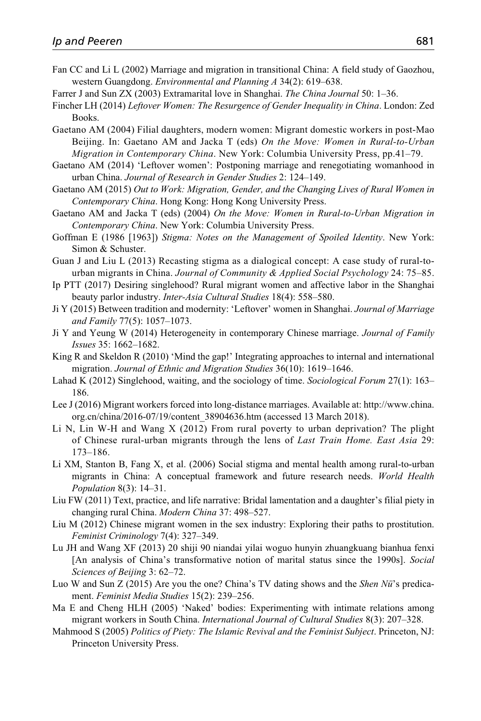- Fan CC and Li L (2002) Marriage and migration in transitional China: A field study of Gaozhou, western Guangdong. *Environmental and Planning A* 34(2): 619–638.
- Farrer J and Sun ZX (2003) Extramarital love in Shanghai. *The China Journal* 50: 1–36.
- Fincher LH (2014) *Leftover Women: The Resurgence of Gender Inequality in China*. London: Zed Books.
- Gaetano AM (2004) Filial daughters, modern women: Migrant domestic workers in post-Mao Beijing. In: Gaetano AM and Jacka T (eds) *On the Move: Women in Rural-to-Urban Migration in Contemporary China*. New York: Columbia University Press, pp.41–79.
- Gaetano AM (2014) 'Leftover women': Postponing marriage and renegotiating womanhood in urban China. *Journal of Research in Gender Studies* 2: 124–149.
- Gaetano AM (2015) *Out to Work: Migration, Gender, and the Changing Lives of Rural Women in Contemporary China*. Hong Kong: Hong Kong University Press.
- Gaetano AM and Jacka T (eds) (2004) *On the Move: Women in Rural-to-Urban Migration in Contemporary China*. New York: Columbia University Press.
- Goffman E (1986 [1963]) *Stigma: Notes on the Management of Spoiled Identity*. New York: Simon & Schuster.
- Guan J and Liu L (2013) Recasting stigma as a dialogical concept: A case study of rural-tourban migrants in China. *Journal of Community & Applied Social Psychology* 24: 75–85.
- Ip PTT (2017) Desiring singlehood? Rural migrant women and affective labor in the Shanghai beauty parlor industry. *Inter-Asia Cultural Studies* 18(4): 558–580.
- Ji Y (2015) Between tradition and modernity: 'Leftover' women in Shanghai. *Journal of Marriage and Family* 77(5): 1057–1073.
- Ji Y and Yeung W (2014) Heterogeneity in contemporary Chinese marriage. *Journal of Family Issues* 35: 1662–1682.
- King R and Skeldon R (2010) 'Mind the gap!' Integrating approaches to internal and international migration. *Journal of Ethnic and Migration Studies* 36(10): 1619–1646.
- Lahad K (2012) Singlehood, waiting, and the sociology of time. *Sociological Forum* 27(1): 163– 186.
- Lee J (2016) Migrant workers forced into long-distance marriages. Available at: [http://www.china.](http://www.china.org.cn/china/2016-07/19/content_38904636.htm) [org.cn/china/2016-07/19/content\\_38904636.htm](http://www.china.org.cn/china/2016-07/19/content_38904636.htm) (accessed 13 March 2018).
- Li N, Lin W-H and Wang X (2012) From rural poverty to urban deprivation? The plight of Chinese rural-urban migrants through the lens of *Last Train Home. East Asia* 29: 173–186.
- Li XM, Stanton B, Fang X, et al. (2006) Social stigma and mental health among rural-to-urban migrants in China: A conceptual framework and future research needs. *World Health Population* 8(3): 14–31.
- Liu FW (2011) Text, practice, and life narrative: Bridal lamentation and a daughter's filial piety in changing rural China. *Modern China* 37: 498–527.
- Liu M (2012) Chinese migrant women in the sex industry: Exploring their paths to prostitution. *Feminist Criminology* 7(4): 327–349.
- Lu JH and Wang XF (2013) 20 shiji 90 niandai yilai woguo hunyin zhuangkuang bianhua fenxi [An analysis of China's transformative notion of marital status since the 1990s]. *Social Sciences of Beijing* 3: 62–72.
- Luo W and Sun Z (2015) Are you the one? China's TV dating shows and the *Shen Nü*'s predicament. *Feminist Media Studies* 15(2): 239–256.
- Ma E and Cheng HLH (2005) 'Naked' bodies: Experimenting with intimate relations among migrant workers in South China. *International Journal of Cultural Studies* 8(3): 207–328.
- Mahmood S (2005) *Politics of Piety: The Islamic Revival and the Feminist Subject*. Princeton, NJ: Princeton University Press.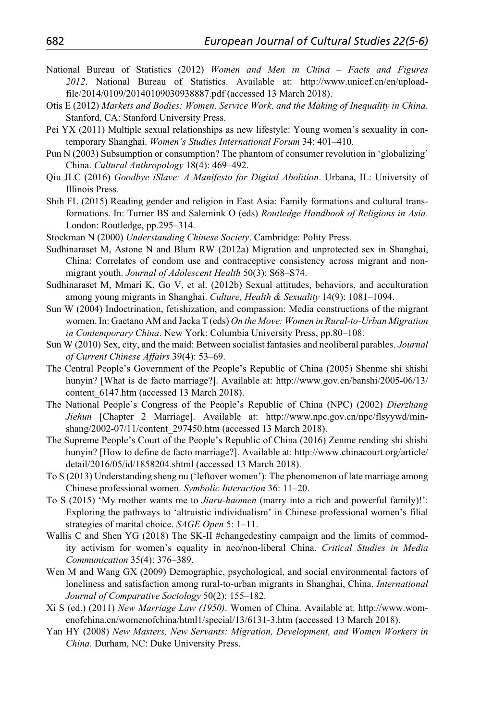- National Bureau of Statistics (2012) *Women and Men in China Facts and Figures 2012*. National Bureau of Statistics. Available at: [http://www.unicef.cn/en/upload](http://www.unicef.cn/en/uploadfile/2014/0109/20140109030938887.pdf)[file/2014/0109/20140109030938887.pdf](http://www.unicef.cn/en/uploadfile/2014/0109/20140109030938887.pdf) (accessed 13 March 2018).
- Otis E (2012) *Markets and Bodies: Women, Service Work, and the Making of Inequality in China*. Stanford, CA: Stanford University Press.
- Pei YX (2011) Multiple sexual relationships as new lifestyle: Young women's sexuality in contemporary Shanghai. *Women's Studies International Forum* 34: 401–410.
- Pun N (2003) Subsumption or consumption? The phantom of consumer revolution in 'globalizing' China. *Cultural Anthropology* 18(4): 469–492.
- Qiu JLC (2016) *Goodbye iSlave: A Manifesto for Digital Abolition*. Urbana, IL: University of Illinois Press.
- Shih FL (2015) Reading gender and religion in East Asia: Family formations and cultural transformations. In: Turner BS and Salemink O (eds) *Routledge Handbook of Religions in Asia*. London: Routledge, pp.295–314.
- Stockman N (2000) *Understanding Chinese Society*. Cambridge: Polity Press.
- Sudhinaraset M, Astone N and Blum RW (2012a) Migration and unprotected sex in Shanghai, China: Correlates of condom use and contraceptive consistency across migrant and nonmigrant youth. *Journal of Adolescent Health* 50(3): S68–S74.
- Sudhinaraset M, Mmari K, Go V, et al. (2012b) Sexual attitudes, behaviors, and acculturation among young migrants in Shanghai. *Culture, Health & Sexuality* 14(9): 1081–1094.
- Sun W (2004) Indoctrination, fetishization, and compassion: Media constructions of the migrant women. In: Gaetano AM and Jacka T (eds) *On the Move: Women in Rural-to-Urban Migration in Contemporary China*. New York: Columbia University Press, pp.80–108.
- Sun W (2010) Sex, city, and the maid: Between socialist fantasies and neoliberal parables. *Journal of Current Chinese Affairs* 39(4): 53–69.
- The Central People's Government of the People's Republic of China (2005) Shenme shi shishi hunyin? [What is de facto marriage?]. Available at: [http://www.gov.cn/banshi/2005-06/13/](http://www.gov.cn/banshi/2005-06/13/content_6147.htm) content 6147.htm (accessed 13 March 2018).
- The National People's Congress of the People's Republic of China (NPC) (2002) *Dierzhang Jiehun* [Chapter 2 Marriage]. Available at: [http://www.npc.gov.cn/npc/flsyywd/min](http://www.npc.gov.cn/npc/flsyywd/minshang/2002-07/11/content_297450.htm)[shang/2002-07/11/content\\_297450.htm](http://www.npc.gov.cn/npc/flsyywd/minshang/2002-07/11/content_297450.htm) (accessed 13 March 2018).
- The Supreme People's Court of the People's Republic of China (2016) Zenme rending shi shishi hunyin? [How to define de facto marriage?]. Available at: [http://www.chinacourt.org/article/](http://www.chinacourt.org/article/detail/2016/05/id/1858204.shtml) [detail/2016/05/id/1858204.shtml](http://www.chinacourt.org/article/detail/2016/05/id/1858204.shtml) (accessed 13 March 2018).
- To S (2013) Understanding sheng nu ('leftover women'): The phenomenon of late marriage among Chinese professional women. *Symbolic Interaction* 36: 11–20.
- To S (2015) 'My mother wants me to *Jiaru-haomen* (marry into a rich and powerful family)!': Exploring the pathways to 'altruistic individualism' in Chinese professional women's filial strategies of marital choice. *SAGE Open* 5: 1–11.
- Wallis C and Shen YG (2018) The SK-II #changedestiny campaign and the limits of commodity activism for women's equality in neo/non-liberal China. *Critical Studies in Media Communication* 35(4): 376–389.
- Wen M and Wang GX (2009) Demographic, psychological, and social environmental factors of loneliness and satisfaction among rural-to-urban migrants in Shanghai, China. *International Journal of Comparative Sociology* 50(2): 155–182.
- Xi S (ed.) (2011) *New Marriage Law (1950)*. Women of China. Available at: [http://www.wom](http://www.womenofchina.cn/womenofchina/html1/special/13/6131-3.htm)[enofchina.cn/womenofchina/html1/special/13/6131-3.htm](http://www.womenofchina.cn/womenofchina/html1/special/13/6131-3.htm) (accessed 13 March 2018).
- Yan HY (2008) *New Masters, New Servants: Migration, Development, and Women Workers in China*. Durham, NC: Duke University Press.